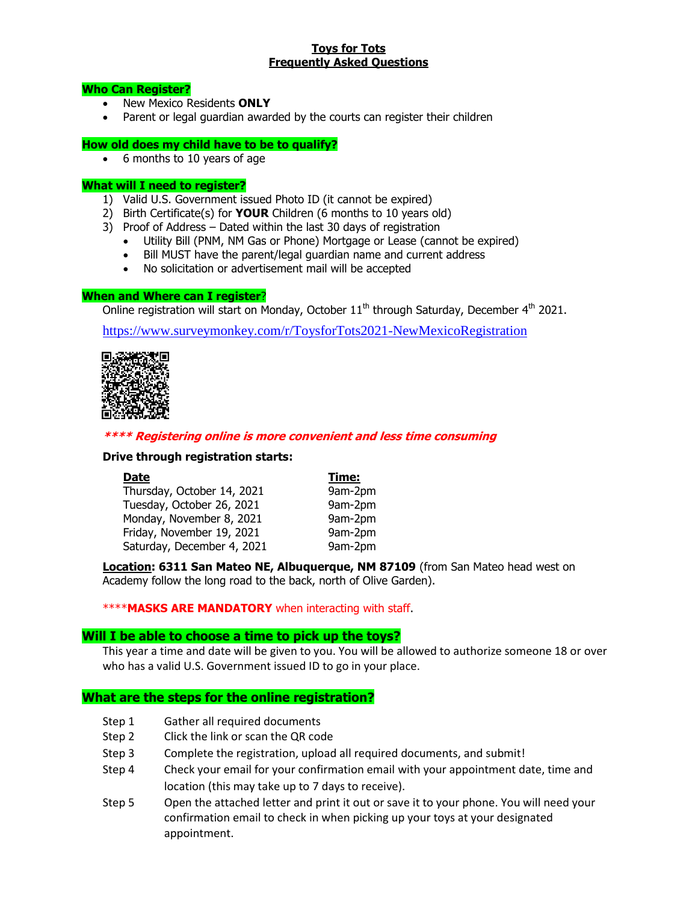# **Toys for Tots Frequently Asked Questions**

## **Who Can Register?**

- New Mexico Residents **ONLY**
- Parent or legal guardian awarded by the courts can register their children

## **How old does my child have to be to qualify?**

6 months to 10 years of age

## **What will I need to register?**

- 1) Valid U.S. Government issued Photo ID (it cannot be expired)
- 2) Birth Certificate(s) for **YOUR** Children (6 months to 10 years old)
- 3) Proof of Address Dated within the last 30 days of registration
	- Utility Bill (PNM, NM Gas or Phone) Mortgage or Lease (cannot be expired)
	- Bill MUST have the parent/legal guardian name and current address
	- No solicitation or advertisement mail will be accepted

## **When and Where can I register**?

Online registration will start on Monday, October  $11<sup>th</sup>$  through Saturday, December  $4<sup>th</sup>$  2021.

<https://www.surveymonkey.com/r/ToysforTots2021-NewMexicoRegistration>



# **\*\*\*\* Registering online is more convenient and less time consuming**

## **Drive through registration starts:**

| Date                       | Time:   |
|----------------------------|---------|
| Thursday, October 14, 2021 | 9am-2pm |
| Tuesday, October 26, 2021  | 9am-2pm |
| Monday, November 8, 2021   | 9am-2pm |
| Friday, November 19, 2021  | 9am-2pm |
| Saturday, December 4, 2021 | 9am-2pm |

**Location: 6311 San Mateo NE, Albuquerque, NM 87109** (from San Mateo head west on Academy follow the long road to the back, north of Olive Garden).

# \*\*\*\***MASKS ARE MANDATORY** when interacting with staff.

## **Will I be able to choose a time to pick up the toys?**

This year a time and date will be given to you. You will be allowed to authorize someone 18 or over who has a valid U.S. Government issued ID to go in your place.

# **What are the steps for the online registration?**

- Step 1 Gather all required documents
- Step 2 Click the link or scan the QR code
- Step 3 Complete the registration, upload all required documents, and submit!
- Step 4 Check your email for your confirmation email with your appointment date, time and location (this may take up to 7 days to receive).
- Step 5 Open the attached letter and print it out or save it to your phone. You will need your confirmation email to check in when picking up your toys at your designated appointment.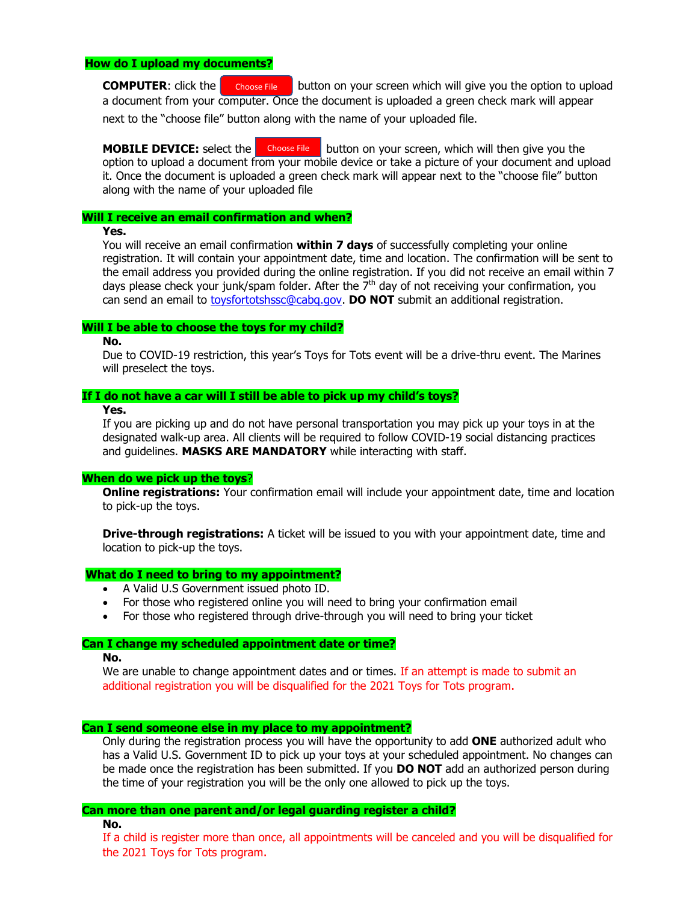# **How do I upload my documents?**

**COMPUTER:** click the choose File button on your screen which will give you the option to upload a document from your computer. Once the document is uploaded a green check mark will appear next to the "choose file" button along with the name of your uploaded file. Choose File

button on your screen, which will then give you the option to upload a document from your mobile device or take a picture of your document and upload it. Once the document is uploaded a green check mark will appear next to the "choose file" button along with the name of your uploaded file **MOBILE DEVICE:** select the Choose File

#### **Will I receive an email confirmation and when?**

#### **Yes.**

You will receive an email confirmation **within 7 days** of successfully completing your online registration. It will contain your appointment date, time and location. The confirmation will be sent to the email address you provided during the online registration. If you did not receive an email within 7 days please check your junk/spam folder. After the  $7<sup>th</sup>$  day of not receiving your confirmation, you can send an email to [toysfortotshssc@cabq.gov.](mailto:toysfortotshssc@cabq.gov) **DO NOT** submit an additional registration.

## **Will I be able to choose the toys for my child?**

#### **No.**

Due to COVID-19 restriction, this year's Toys for Tots event will be a drive-thru event. The Marines will preselect the toys.

## **If I do not have a car will I still be able to pick up my child's toys?**

#### **Yes.**

If you are picking up and do not have personal transportation you may pick up your toys in at the designated walk-up area. All clients will be required to follow COVID-19 social distancing practices and guidelines. **MASKS ARE MANDATORY** while interacting with staff.

## **When do we pick up the toys**?

**Online registrations:** Your confirmation email will include your appointment date, time and location to pick-up the toys.

**Drive-through registrations:** A ticket will be issued to you with your appointment date, time and location to pick-up the toys.

## **What do I need to bring to my appointment?**

- A Valid U.S Government issued photo ID.
- For those who registered online you will need to bring your confirmation email
- For those who registered through drive-through you will need to bring your ticket

#### **Can I change my scheduled appointment date or time?**

# **No.**

We are unable to change appointment dates and or times. If an attempt is made to submit an additional registration you will be disqualified for the 2021 Toys for Tots program.

# **Can I send someone else in my place to my appointment?**

Only during the registration process you will have the opportunity to add **ONE** authorized adult who has a Valid U.S. Government ID to pick up your toys at your scheduled appointment. No changes can be made once the registration has been submitted. If you **DO NOT** add an authorized person during the time of your registration you will be the only one allowed to pick up the toys.

# **Can more than one parent and/or legal guarding register a child?**

**No.**

If a child is register more than once, all appointments will be canceled and you will be disqualified for the 2021 Toys for Tots program.